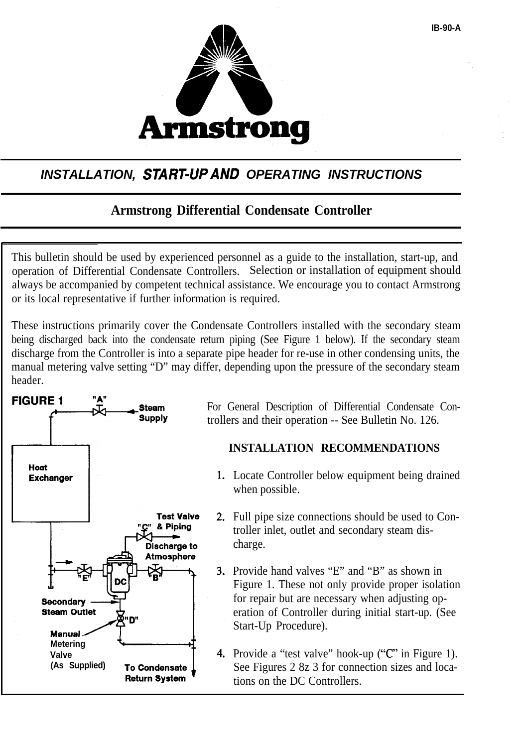

# *INSTALLATION, START-UP AND OPERATING INSTRUCTIONS*

## **Armstrong Differential Condensate Controller**

This bulletin should be used by experienced personnel as a guide to the installation, start-up, and operation of Differential Condensate Controllers. Selection or installation of equipment should always be accompanied by competent technical assistance. We encourage you to contact Armstrong or its local representative if further information is required.

These instructions primarily cover the Condensate Controllers installed with the secondary steam being discharged back into the condensate return piping (See Figure 1 below). If the secondary steam discharge from the Controller is into a separate pipe header for re-use in other condensing units, the manual metering valve setting "D" may differ, depending upon the pressure of the secondary steam header.



For General Description of Differential Condensate Controllers and their operation -- See Bulletin No. 126.

## **INSTALLATION RECOMMENDATIONS**

- 1. Locate Controller below equipment being drained when possible.
- Full pipe size connections should be used to Controller inlet, outlet and secondary steam discharge.
- Provide hand valves "E" and "B" as shown in Figure 1. These not only provide proper isolation for repair but are necessary when adjusting operation of Controller during initial start-up. (See Start-Up Procedure).
- 4. Provide a "test valve" hook-up ("C" in Figure 1). See Figures 2 8z 3 for connection sizes and locations on the DC Controllers.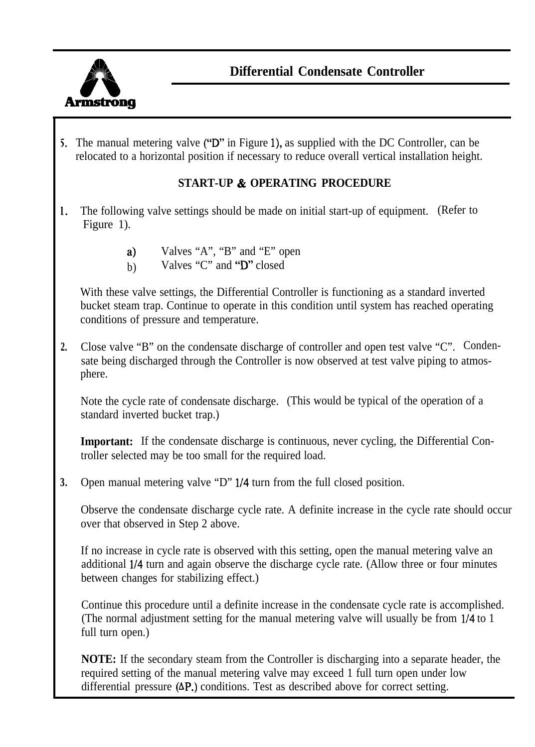

5. The manual metering valve ("D" in Figure l), as supplied with the DC Controller, can be relocated to a horizontal position if necessary to reduce overall vertical installation height.

#### **START-UP & OPERATING PROCEDURE**

- 1. The following valve settings should be made on initial start-up of equipment. (Refer to Figure 1).
	- a) Valves "A", "B" and "E" open
	- b) Valves "C" and " $\overrightarrow{D}$ " closed

With these valve settings, the Differential Controller is functioning as a standard inverted bucket steam trap. Continue to operate in this condition until system has reached operating conditions of pressure and temperature.

**2.** Close valve "B" on the condensate discharge of controller and open test valve "C". Condensate being discharged through the Controller is now observed at test valve piping to atmosphere.

Note the cycle rate of condensate discharge. (This would be typical of the operation of a standard inverted bucket trap.)

**Important:** If the condensate discharge is continuous, never cycling, the Differential Controller selected may be too small for the required load.

**3.** Open manual metering valve "D" l/4 turn from the full closed position.

Observe the condensate discharge cycle rate. A definite increase in the cycle rate should occur over that observed in Step 2 above.

If no increase in cycle rate is observed with this setting, open the manual metering valve an additional l/4 turn and again observe the discharge cycle rate. (Allow three or four minutes between changes for stabilizing effect.)

Continue this procedure until a definite increase in the condensate cycle rate is accomplished. (The normal adjustment setting for the manual metering valve will usually be from l/4 to 1 full turn open.)

**NOTE:** If the secondary steam from the Controller is discharging into a separate header, the required setting of the manual metering valve may exceed 1 full turn open under low differential pressure (AP.) conditions. Test as described above for correct setting.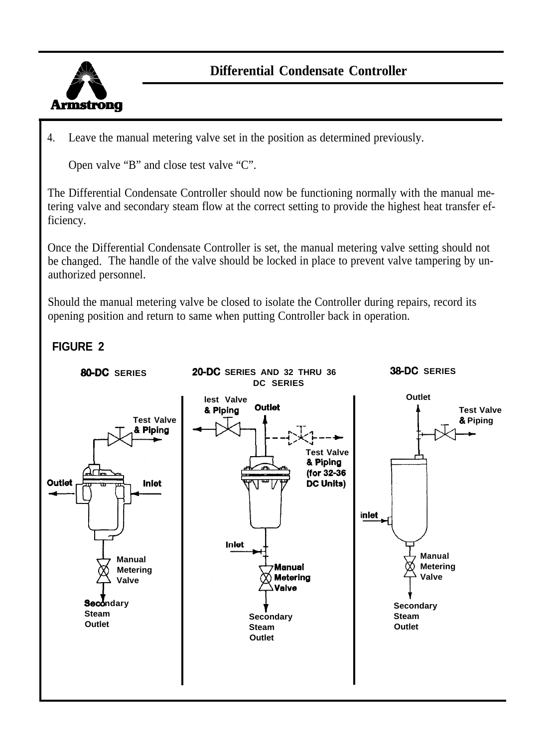

4. Leave the manual metering valve set in the position as determined previously.

Open valve "B" and close test valve "C".

The Differential Condensate Controller should now be functioning normally with the manual metering valve and secondary steam flow at the correct setting to provide the highest heat transfer efficiency.

Once the Differential Condensate Controller is set, the manual metering valve setting should not be changed. The handle of the valve should be locked in place to prevent valve tampering by unauthorized personnel.

Should the manual metering valve be closed to isolate the Controller during repairs, record its opening position and return to same when putting Controller back in operation.

# **FIGURE 2**